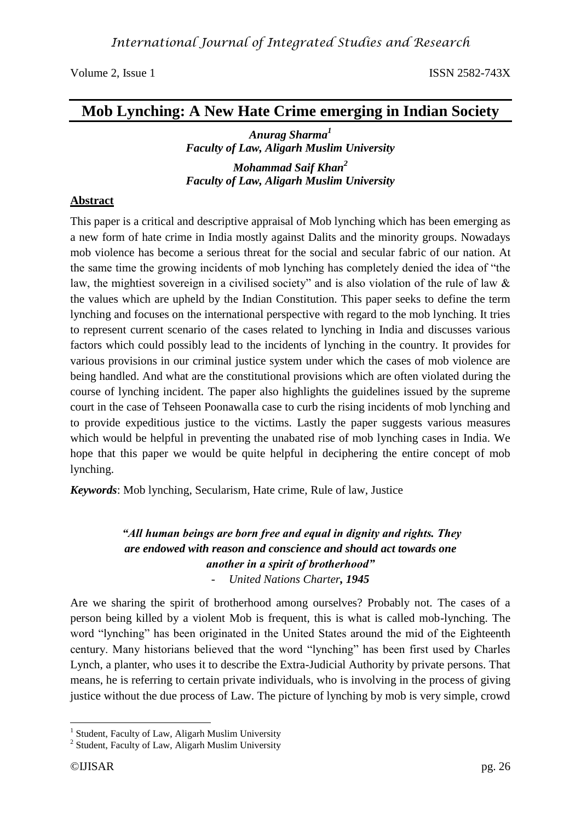# **Mob Lynching: A New Hate Crime emerging in Indian Society**

*Anurag Sharma<sup>1</sup> Faculty of Law, Aligarh Muslim University Mohammad Saif Khan<sup>2</sup> Faculty of Law, Aligarh Muslim University*

#### **Abstract**

This paper is a critical and descriptive appraisal of Mob lynching which has been emerging as a new form of hate crime in India mostly against Dalits and the minority groups. Nowadays mob violence has become a serious threat for the social and secular fabric of our nation. At the same time the growing incidents of mob lynching has completely denied the idea of "the law, the mightiest sovereign in a civilised society" and is also violation of the rule of law  $\&$ the values which are upheld by the Indian Constitution. This paper seeks to define the term lynching and focuses on the international perspective with regard to the mob lynching. It tries to represent current scenario of the cases related to lynching in India and discusses various factors which could possibly lead to the incidents of lynching in the country. It provides for various provisions in our criminal justice system under which the cases of mob violence are being handled. And what are the constitutional provisions which are often violated during the course of lynching incident. The paper also highlights the guidelines issued by the supreme court in the case of Tehseen Poonawalla case to curb the rising incidents of mob lynching and to provide expeditious justice to the victims. Lastly the paper suggests various measures which would be helpful in preventing the unabated rise of mob lynching cases in India. We hope that this paper we would be quite helpful in deciphering the entire concept of mob lynching.

*Keywords*: Mob lynching, Secularism, Hate crime, Rule of law, Justice

### *"All human beings are born free and equal in dignity and rights. They are endowed with reason and conscience and should act towards one another in a spirit of brotherhood"* - *United Nations Charter, 1945*

Are we sharing the spirit of brotherhood among ourselves? Probably not. The cases of a person being killed by a violent Mob is frequent, this is what is called mob-lynching. The word "lynching" has been originated in the United States around the mid of the Eighteenth century. Many historians believed that the word "lynching" has been first used by Charles Lynch, a planter, who uses it to describe the Extra-Judicial Authority by private persons. That means, he is referring to certain private individuals, who is involving in the process of giving justice without the due process of Law. The picture of lynching by mob is very simple, crowd

<sup>&</sup>lt;u>.</u> <sup>1</sup> Student, Faculty of Law, Aligarh Muslim University

<sup>&</sup>lt;sup>2</sup> Student, Faculty of Law, Aligarh Muslim University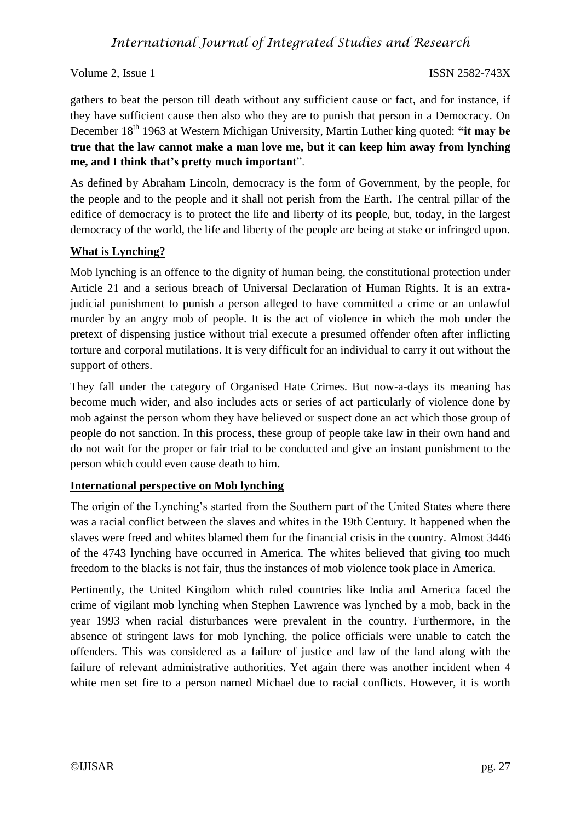gathers to beat the person till death without any sufficient cause or fact, and for instance, if they have sufficient cause then also who they are to punish that person in a Democracy. On December 18<sup>th</sup> 1963 at Western Michigan University, Martin Luther king quoted: "it may be **true that the law cannot make a man love me, but it can keep him away from lynching me, and I think that's pretty much important**".

As defined by Abraham Lincoln, democracy is the form of Government, by the people, for the people and to the people and it shall not perish from the Earth. The central pillar of the edifice of democracy is to protect the life and liberty of its people, but, today, in the largest democracy of the world, the life and liberty of the people are being at stake or infringed upon.

#### **What is Lynching?**

Mob lynching is an offence to the dignity of human being, the constitutional protection under Article 21 and a serious breach of Universal Declaration of Human Rights. It is an extrajudicial punishment to punish a person alleged to have committed a crime or an unlawful murder by an angry mob of people. It is the act of violence in which the mob under the pretext of dispensing justice without trial execute a presumed offender often after inflicting torture and corporal mutilations. It is very difficult for an individual to carry it out without the support of others.

They fall under the category of Organised Hate Crimes. But now-a-days its meaning has become much wider, and also includes acts or series of act particularly of violence done by mob against the person whom they have believed or suspect done an act which those group of people do not sanction. In this process, these group of people take law in their own hand and do not wait for the proper or fair trial to be conducted and give an instant punishment to the person which could even cause death to him.

#### **International perspective on Mob lynching**

The origin of the Lynching's started from the Southern part of the United States where there was a racial conflict between the slaves and whites in the 19th Century. It happened when the slaves were freed and whites blamed them for the financial crisis in the country. Almost 3446 of the 4743 lynching have occurred in America. The whites believed that giving too much freedom to the blacks is not fair, thus the instances of mob violence took place in America.

Pertinently, the United Kingdom which ruled countries like India and America faced the crime of vigilant mob lynching when Stephen Lawrence was lynched by a mob, back in the year 1993 when racial disturbances were prevalent in the country. Furthermore, in the absence of stringent laws for mob lynching, the police officials were unable to catch the offenders. This was considered as a failure of justice and law of the land along with the failure of relevant administrative authorities. Yet again there was another incident when 4 white men set fire to a person named Michael due to racial conflicts. However, it is worth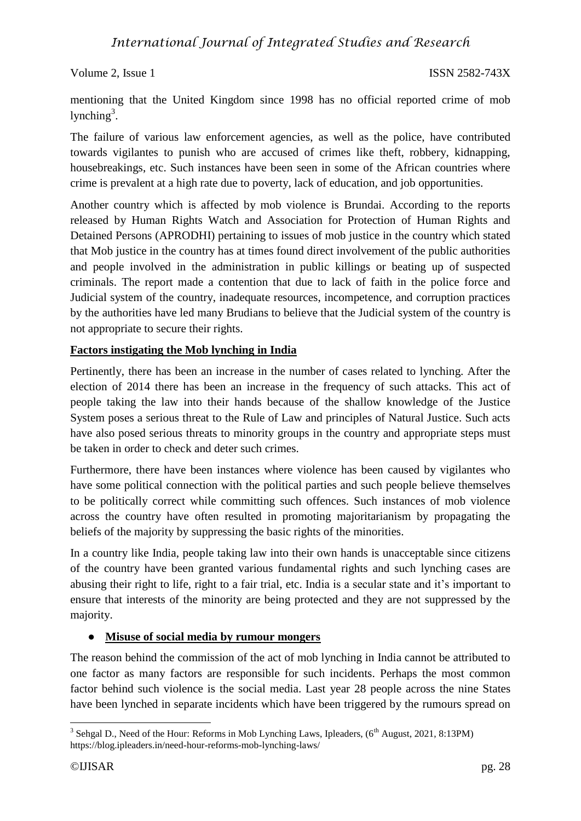mentioning that the United Kingdom since 1998 has no official reported crime of mob lynching<sup>3</sup>.

The failure of various law enforcement agencies, as well as the police, have contributed towards vigilantes to punish who are accused of crimes like theft, robbery, kidnapping, housebreakings, etc. Such instances have been seen in some of the African countries where crime is prevalent at a high rate due to poverty, lack of education, and job opportunities.

Another country which is affected by mob violence is Brundai. According to the reports released by Human Rights Watch and Association for Protection of Human Rights and Detained Persons (APRODHI) pertaining to issues of mob justice in the country which stated that Mob justice in the country has at times found direct involvement of the public authorities and people involved in the administration in public killings or beating up of suspected criminals. The report made a contention that due to lack of faith in the police force and Judicial system of the country, inadequate resources, incompetence, and corruption practices by the authorities have led many Brudians to believe that the Judicial system of the country is not appropriate to secure their rights.

### **Factors instigating the Mob lynching in India**

Pertinently, there has been an increase in the number of cases related to lynching. After the election of 2014 there has been an increase in the frequency of such attacks. This act of people taking the law into their hands because of the shallow knowledge of the Justice System poses a serious threat to the Rule of Law and principles of Natural Justice. Such acts have also posed serious threats to minority groups in the country and appropriate steps must be taken in order to check and deter such crimes.

Furthermore, there have been instances where violence has been caused by vigilantes who have some political connection with the political parties and such people believe themselves to be politically correct while committing such offences. Such instances of mob violence across the country have often resulted in promoting majoritarianism by propagating the beliefs of the majority by suppressing the basic rights of the minorities.

In a country like India, people taking law into their own hands is unacceptable since citizens of the country have been granted various fundamental rights and such lynching cases are abusing their right to life, right to a fair trial, etc. India is a secular state and it's important to ensure that interests of the minority are being protected and they are not suppressed by the majority.

### ● **Misuse of social media by rumour mongers**

The reason behind the commission of the act of mob lynching in India cannot be attributed to one factor as many factors are responsible for such incidents. Perhaps the most common factor behind such violence is the social media. Last year 28 people across the nine States have been lynched in separate incidents which have been triggered by the rumours spread on

<sup>&</sup>lt;sup>3</sup> Sehgal D., Need of the Hour: Reforms in Mob Lynching Laws, Ipleaders, (6<sup>th</sup> August, 2021, 8:13PM) https://blog.ipleaders.in/need-hour-reforms-mob-lynching-laws/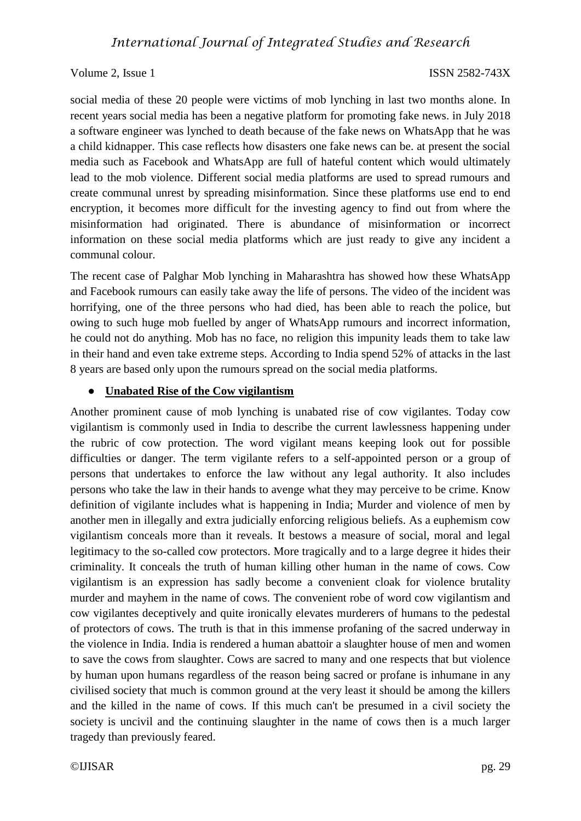social media of these 20 people were victims of mob lynching in last two months alone. In recent years social media has been a negative platform for promoting fake news. in July 2018 a software engineer was lynched to death because of the fake news on WhatsApp that he was a child kidnapper. This case reflects how disasters one fake news can be. at present the social media such as Facebook and WhatsApp are full of hateful content which would ultimately lead to the mob violence. Different social media platforms are used to spread rumours and create communal unrest by spreading misinformation. Since these platforms use end to end encryption, it becomes more difficult for the investing agency to find out from where the misinformation had originated. There is abundance of misinformation or incorrect information on these social media platforms which are just ready to give any incident a communal colour.

The recent case of Palghar Mob lynching in Maharashtra has showed how these WhatsApp and Facebook rumours can easily take away the life of persons. The video of the incident was horrifying, one of the three persons who had died, has been able to reach the police, but owing to such huge mob fuelled by anger of WhatsApp rumours and incorrect information, he could not do anything. Mob has no face, no religion this impunity leads them to take law in their hand and even take extreme steps. According to India spend 52% of attacks in the last 8 years are based only upon the rumours spread on the social media platforms.

#### ● **Unabated Rise of the Cow vigilantism**

Another prominent cause of mob lynching is unabated rise of cow vigilantes. Today cow vigilantism is commonly used in India to describe the current lawlessness happening under the rubric of cow protection. The word vigilant means keeping look out for possible difficulties or danger. The term vigilante refers to a self-appointed person or a group of persons that undertakes to enforce the law without any legal authority. It also includes persons who take the law in their hands to avenge what they may perceive to be crime. Know definition of vigilante includes what is happening in India; Murder and violence of men by another men in illegally and extra judicially enforcing religious beliefs. As a euphemism cow vigilantism conceals more than it reveals. It bestows a measure of social, moral and legal legitimacy to the so-called cow protectors. More tragically and to a large degree it hides their criminality. It conceals the truth of human killing other human in the name of cows. Cow vigilantism is an expression has sadly become a convenient cloak for violence brutality murder and mayhem in the name of cows. The convenient robe of word cow vigilantism and cow vigilantes deceptively and quite ironically elevates murderers of humans to the pedestal of protectors of cows. The truth is that in this immense profaning of the sacred underway in the violence in India. India is rendered a human abattoir a slaughter house of men and women to save the cows from slaughter. Cows are sacred to many and one respects that but violence by human upon humans regardless of the reason being sacred or profane is inhumane in any civilised society that much is common ground at the very least it should be among the killers and the killed in the name of cows. If this much can't be presumed in a civil society the society is uncivil and the continuing slaughter in the name of cows then is a much larger tragedy than previously feared.

©IJISAR pg. 29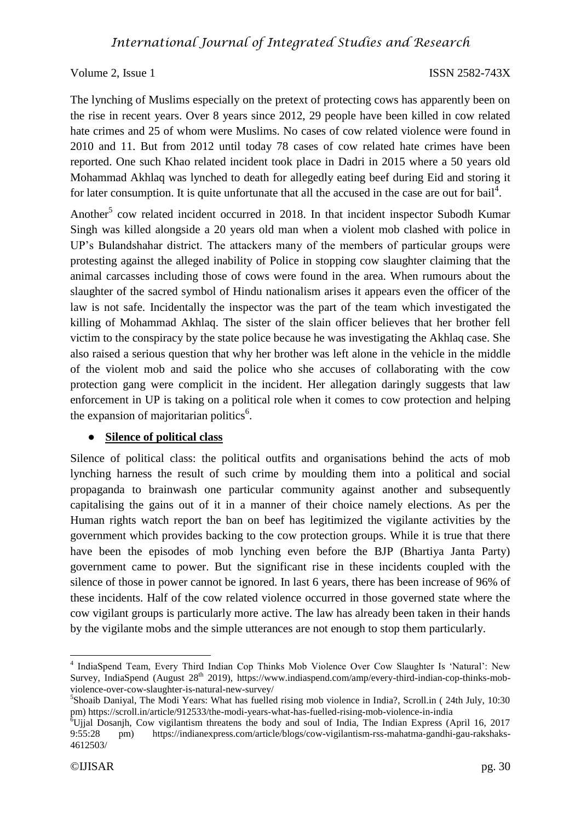The lynching of Muslims especially on the pretext of protecting cows has apparently been on the rise in recent years. Over 8 years since 2012, 29 people have been killed in cow related hate crimes and 25 of whom were Muslims. No cases of cow related violence were found in 2010 and 11. But from 2012 until today 78 cases of cow related hate crimes have been reported. One such Khao related incident took place in Dadri in 2015 where a 50 years old Mohammad Akhlaq was lynched to death for allegedly eating beef during Eid and storing it for later consumption. It is quite unfortunate that all the accused in the case are out for bail<sup>4</sup>.

Another<sup>5</sup> cow related incident occurred in 2018. In that incident inspector Subodh Kumar Singh was killed alongside a 20 years old man when a violent mob clashed with police in UP's Bulandshahar district. The attackers many of the members of particular groups were protesting against the alleged inability of Police in stopping cow slaughter claiming that the animal carcasses including those of cows were found in the area. When rumours about the slaughter of the sacred symbol of Hindu nationalism arises it appears even the officer of the law is not safe. Incidentally the inspector was the part of the team which investigated the killing of Mohammad Akhlaq. The sister of the slain officer believes that her brother fell victim to the conspiracy by the state police because he was investigating the Akhlaq case. She also raised a serious question that why her brother was left alone in the vehicle in the middle of the violent mob and said the police who she accuses of collaborating with the cow protection gang were complicit in the incident. Her allegation daringly suggests that law enforcement in UP is taking on a political role when it comes to cow protection and helping the expansion of majoritarian politics<sup>6</sup>.

#### ● **Silence of political class**

Silence of political class: the political outfits and organisations behind the acts of mob lynching harness the result of such crime by moulding them into a political and social propaganda to brainwash one particular community against another and subsequently capitalising the gains out of it in a manner of their choice namely elections. As per the Human rights watch report the ban on beef has legitimized the vigilante activities by the government which provides backing to the cow protection groups. While it is true that there have been the episodes of mob lynching even before the BJP (Bhartiya Janta Party) government came to power. But the significant rise in these incidents coupled with the silence of those in power cannot be ignored. In last 6 years, there has been increase of 96% of these incidents. Half of the cow related violence occurred in those governed state where the cow vigilant groups is particularly more active. The law has already been taken in their hands by the vigilante mobs and the simple utterances are not enough to stop them particularly.

<sup>1</sup> <sup>4</sup> IndiaSpend Team, Every Third Indian Cop Thinks Mob Violence Over Cow Slaughter Is 'Natural': New Survey, IndiaSpend (August 28<sup>th</sup> 2019), https://www.indiaspend.com/amp/every-third-indian-cop-thinks-mobviolence-over-cow-slaughter-is-natural-new-survey/

<sup>5</sup> Shoaib Daniyal, The Modi Years: What has fuelled rising mob violence in India?, Scroll.in ( 24th July, 10:30 pm) https://scroll.in/article/912533/the-modi-years-what-has-fuelled-rising-mob-violence-in-india

 $^{6}$ Ujjal Dosanjh, Cow vigilantism threatens the body and soul of India, The Indian Express (April 16, 2017 9:55:28 pm) https://indianexpress.com/article/blogs/cow-vigilantism-rss-mahatma-gandhi-gau-rakshaks-4612503/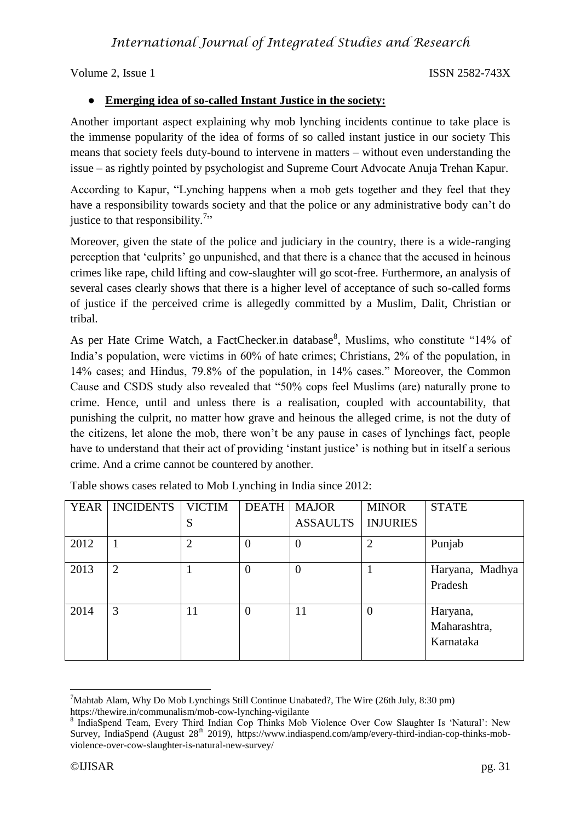### ● **Emerging idea of so-called Instant Justice in the society:**

Another important aspect explaining why mob lynching incidents continue to take place is the immense popularity of the idea of forms of so called instant justice in our society This means that society feels duty-bound to intervene in matters – without even understanding the issue – as rightly pointed by psychologist and Supreme Court Advocate Anuja Trehan Kapur.

According to Kapur, "Lynching happens when a mob gets together and they feel that they have a responsibility towards society and that the police or any administrative body can't do justice to that responsibility.<sup>7</sup>"

Moreover, given the state of the police and judiciary in the country, there is a wide-ranging perception that 'culprits' go unpunished, and that there is a chance that the accused in heinous crimes like rape, child lifting and cow-slaughter will go scot-free. Furthermore, an analysis of several cases clearly shows that there is a higher level of acceptance of such so-called forms of justice if the perceived crime is allegedly committed by a Muslim, Dalit, Christian or tribal.

As per Hate Crime Watch, a FactChecker.in database<sup>8</sup>, Muslims, who constitute "14% of India's population, were victims in 60% of hate crimes; Christians, 2% of the population, in 14% cases; and Hindus, 79.8% of the population, in 14% cases." Moreover, the Common Cause and CSDS study also revealed that "50% cops feel Muslims (are) naturally prone to crime. Hence, until and unless there is a realisation, coupled with accountability, that punishing the culprit, no matter how grave and heinous the alleged crime, is not the duty of the citizens, let alone the mob, there won't be any pause in cases of lynchings fact, people have to understand that their act of providing 'instant justice' is nothing but in itself a serious crime. And a crime cannot be countered by another.

| <b>YEAR</b> | <b>INCIDENTS</b> | <b>VICTIM</b>  | <b>DEATH</b>   | <b>MAJOR</b>     | <b>MINOR</b>    | <b>STATE</b>                          |
|-------------|------------------|----------------|----------------|------------------|-----------------|---------------------------------------|
|             |                  | S              |                | <b>ASSAULTS</b>  | <b>INJURIES</b> |                                       |
| 2012        |                  | $\overline{2}$ | $\overline{0}$ | 0                | $\overline{2}$  | Punjab                                |
| 2013        | $\overline{2}$   |                | $\overline{0}$ | $\boldsymbol{0}$ |                 | Haryana, Madhya<br>Pradesh            |
| 2014        | 3                | 11             | $\overline{0}$ | 11               | $\overline{0}$  | Haryana,<br>Maharashtra,<br>Karnataka |

Table shows cases related to Mob Lynching in India since 2012:

<sup>&</sup>lt;u>.</u> <sup>7</sup>Mahtab Alam, Why Do Mob Lynchings Still Continue Unabated?, The Wire (26th July, 8:30 pm) https://thewire.in/communalism/mob-cow-lynching-vigilante

<sup>&</sup>lt;sup>8</sup> IndiaSpend Team, Every Third Indian Cop Thinks Mob Violence Over Cow Slaughter Is 'Natural': New Survey, IndiaSpend (August 28<sup>th</sup> 2019), https://www.indiaspend.com/amp/every-third-indian-cop-thinks-mobviolence-over-cow-slaughter-is-natural-new-survey/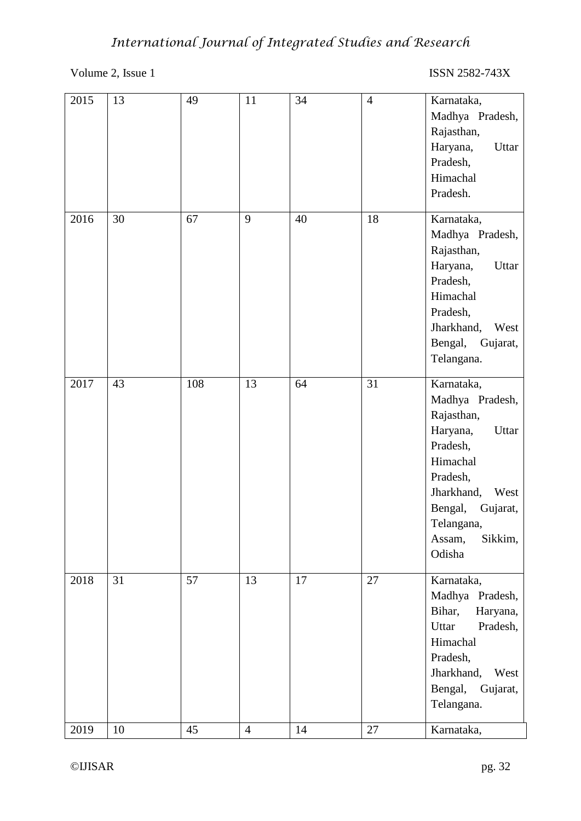# *International Journal of Integrated Studies and Research*

# Volume 2, Issue 1 ISSN 2582-743X

| 67<br>9<br>18<br>Karnataka,<br>2016<br>30<br>40<br>Rajasthan,<br>Haryana,<br>Pradesh,<br>Himachal<br>Pradesh,<br>Jharkhand,<br>Telangana.<br>108<br>2017<br>43<br>13<br>31<br>Karnataka,<br>64<br>Rajasthan,<br>Haryana,<br>Pradesh,<br>Himachal<br>Pradesh,<br>Jharkhand,<br>Bengal,<br>Telangana,<br>Assam,<br>Odisha<br>57<br>31<br>13<br>17<br>2018<br>27<br>Karnataka,<br>Bihar,<br>Uttar<br>Himachal<br>Pradesh,<br>Jharkhand,<br>Telangana. | 2015 | 13 | 49 | 11 | 34 | $\overline{4}$ | Karnataka,<br>Madhya Pradesh,<br>Rajasthan,<br>Haryana,<br>Uttar<br>Pradesh,<br>Himachal<br>Pradesh. |
|----------------------------------------------------------------------------------------------------------------------------------------------------------------------------------------------------------------------------------------------------------------------------------------------------------------------------------------------------------------------------------------------------------------------------------------------------|------|----|----|----|----|----------------|------------------------------------------------------------------------------------------------------|
|                                                                                                                                                                                                                                                                                                                                                                                                                                                    |      |    |    |    |    |                | Madhya Pradesh,<br>Uttar<br>West<br>Bengal, Gujarat,                                                 |
|                                                                                                                                                                                                                                                                                                                                                                                                                                                    |      |    |    |    |    |                | Madhya Pradesh,<br>Uttar<br>West<br>Gujarat,<br>Sikkim,                                              |
| 2019<br>10<br>45<br>14<br>27<br>$\overline{4}$<br>Karnataka,                                                                                                                                                                                                                                                                                                                                                                                       |      |    |    |    |    |                | Madhya Pradesh,<br>Haryana,<br>Pradesh,<br>West<br>Bengal, Gujarat,                                  |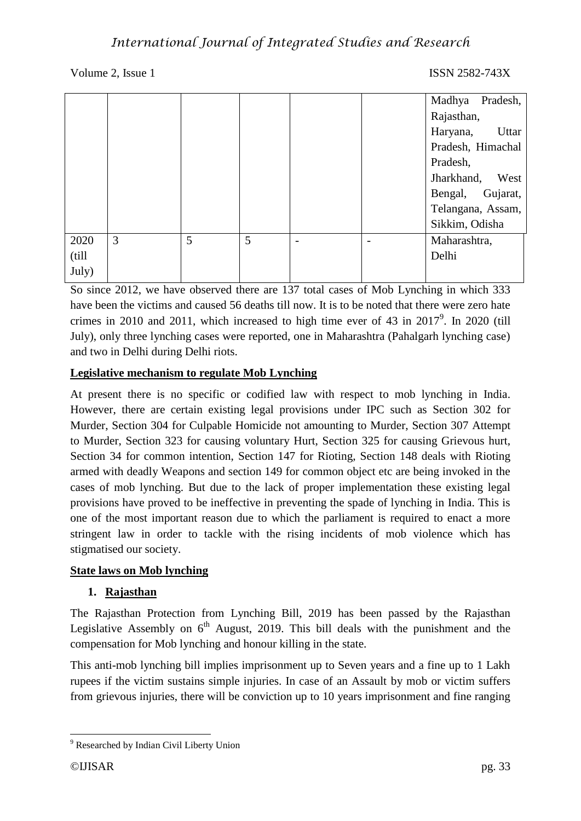# *International Journal of Integrated Studies and Research*

#### Volume 2, Issue 1 ISSN 2582-743X

|        |   |   |   |  | Pradesh,<br>Madhya  |
|--------|---|---|---|--|---------------------|
|        |   |   |   |  | Rajasthan,          |
|        |   |   |   |  | Haryana,<br>Uttar   |
|        |   |   |   |  | Pradesh, Himachal   |
|        |   |   |   |  | Pradesh,            |
|        |   |   |   |  | Jharkhand,<br>West  |
|        |   |   |   |  | Gujarat,<br>Bengal, |
|        |   |   |   |  | Telangana, Assam,   |
|        |   |   |   |  | Sikkim, Odisha      |
| 2020   | 3 | 5 | 5 |  | Maharashtra,        |
| (till) |   |   |   |  | Delhi               |
| July)  |   |   |   |  |                     |

So since 2012, we have observed there are 137 total cases of Mob Lynching in which 333 have been the victims and caused 56 deaths till now. It is to be noted that there were zero hate crimes in 2010 and 2011, which increased to high time ever of 43 in  $2017^9$ . In 2020 (till July), only three lynching cases were reported, one in Maharashtra (Pahalgarh lynching case) and two in Delhi during Delhi riots.

#### **Legislative mechanism to regulate Mob Lynching**

At present there is no specific or codified law with respect to mob lynching in India. However, there are certain existing legal provisions under IPC such as Section 302 for Murder, Section 304 for Culpable Homicide not amounting to Murder, Section 307 Attempt to Murder, Section 323 for causing voluntary Hurt, Section 325 for causing Grievous hurt, Section 34 for common intention, Section 147 for Rioting, Section 148 deals with Rioting armed with deadly Weapons and section 149 for common object etc are being invoked in the cases of mob lynching. But due to the lack of proper implementation these existing legal provisions have proved to be ineffective in preventing the spade of lynching in India. This is one of the most important reason due to which the parliament is required to enact a more stringent law in order to tackle with the rising incidents of mob violence which has stigmatised our society.

#### **State laws on Mob lynching**

#### **1. Rajasthan**

The Rajasthan Protection from Lynching Bill, 2019 has been passed by the Rajasthan Legislative Assembly on  $6<sup>th</sup>$  August, 2019. This bill deals with the punishment and the compensation for Mob lynching and honour killing in the state.

This anti-mob lynching bill implies imprisonment up to Seven years and a fine up to 1 Lakh rupees if the victim sustains simple injuries. In case of an Assault by mob or victim suffers from grievous injuries, there will be conviction up to 10 years imprisonment and fine ranging

1

<sup>&</sup>lt;sup>9</sup> Researched by Indian Civil Liberty Union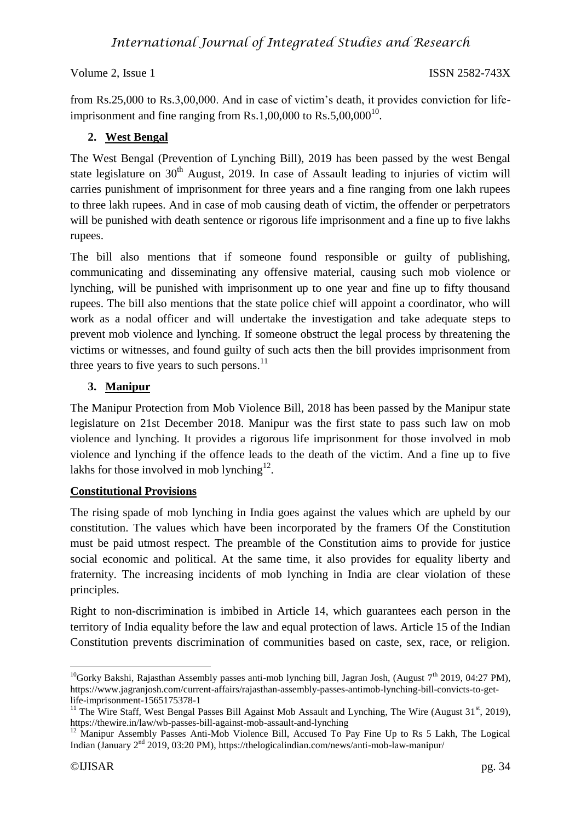from Rs.25,000 to Rs.3,00,000. And in case of victim's death, it provides conviction for lifeimprisonment and fine ranging from Rs.1,00,000 to Rs.5,00,000 $^{10}$ .

### **2. West Bengal**

The West Bengal (Prevention of Lynching Bill), 2019 has been passed by the west Bengal state legislature on  $30<sup>th</sup>$  August, 2019. In case of Assault leading to injuries of victim will carries punishment of imprisonment for three years and a fine ranging from one lakh rupees to three lakh rupees. And in case of mob causing death of victim, the offender or perpetrators will be punished with death sentence or rigorous life imprisonment and a fine up to five lakhs rupees.

The bill also mentions that if someone found responsible or guilty of publishing, communicating and disseminating any offensive material, causing such mob violence or lynching, will be punished with imprisonment up to one year and fine up to fifty thousand rupees. The bill also mentions that the state police chief will appoint a coordinator, who will work as a nodal officer and will undertake the investigation and take adequate steps to prevent mob violence and lynching. If someone obstruct the legal process by threatening the victims or witnesses, and found guilty of such acts then the bill provides imprisonment from three years to five years to such persons. $^{11}$ 

### **3. Manipur**

The Manipur Protection from Mob Violence Bill, 2018 has been passed by the Manipur state legislature on 21st December 2018. Manipur was the first state to pass such law on mob violence and lynching. It provides a rigorous life imprisonment for those involved in mob violence and lynching if the offence leads to the death of the victim. And a fine up to five lakhs for those involved in mob lynching<sup>12</sup>.

### **Constitutional Provisions**

The rising spade of mob lynching in India goes against the values which are upheld by our constitution. The values which have been incorporated by the framers Of the Constitution must be paid utmost respect. The preamble of the Constitution aims to provide for justice social economic and political. At the same time, it also provides for equality liberty and fraternity. The increasing incidents of mob lynching in India are clear violation of these principles.

Right to non-discrimination is imbibed in Article 14, which guarantees each person in the territory of India equality before the law and equal protection of laws. Article 15 of the Indian Constitution prevents discrimination of communities based on caste, sex, race, or religion.

1

<sup>&</sup>lt;sup>10</sup>Gorky Bakshi, Rajasthan Assembly passes anti-mob lynching bill, Jagran Josh, (August  $7<sup>th</sup>$  2019, 04:27 PM), https://www.jagranjosh.com/current-affairs/rajasthan-assembly-passes-antimob-lynching-bill-convicts-to-getlife-imprisonment-1565175378-1

<sup>&</sup>lt;sup>11</sup> The Wire Staff, West Bengal Passes Bill Against Mob Assault and Lynching, The Wire (August 31<sup>st</sup>, 2019), https://thewire.in/law/wb-passes-bill-against-mob-assault-and-lynching

<sup>&</sup>lt;sup>12</sup> Manipur Assembly Passes Anti-Mob Violence Bill, Accused To Pay Fine Up to Rs 5 Lakh, The Logical Indian (January 2nd 2019, 03:20 PM), https://thelogicalindian.com/news/anti-mob-law-manipur/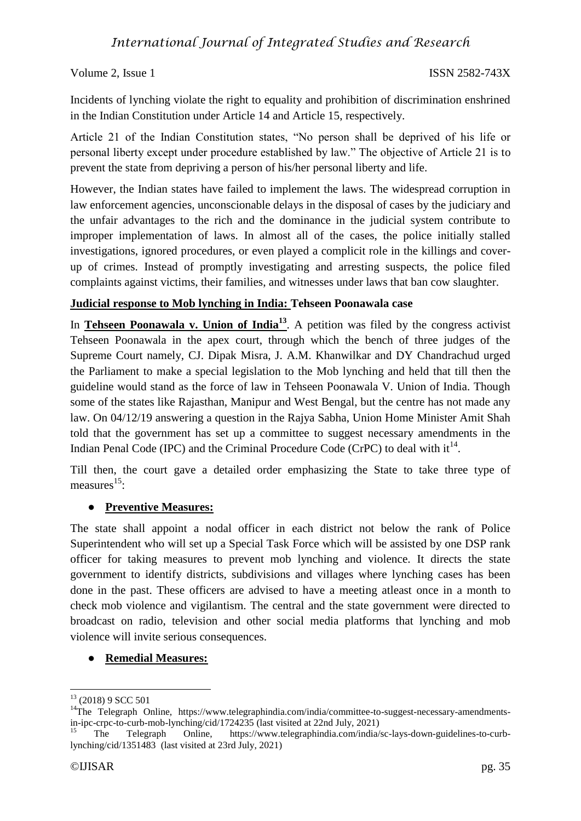## *International Journal of Integrated Studies and Research*

Volume 2, Issue 1 ISSN 2582-743X

Incidents of lynching violate the right to equality and prohibition of discrimination enshrined in the Indian Constitution under Article 14 and Article 15, respectively.

Article 21 of the Indian Constitution states, "No person shall be deprived of his life or personal liberty except under procedure established by law." The objective of Article 21 is to prevent the state from depriving a person of his/her personal liberty and life.

However, the Indian states have failed to implement the laws. The widespread corruption in law enforcement agencies, unconscionable delays in the disposal of cases by the judiciary and the unfair advantages to the rich and the dominance in the judicial system contribute to improper implementation of laws. In almost all of the cases, the police initially stalled investigations, ignored procedures, or even played a complicit role in the killings and coverup of crimes. Instead of promptly investigating and arresting suspects, the police filed complaints against victims, their families, and witnesses under laws that ban cow slaughter.

#### **Judicial response to Mob lynching in India: Tehseen Poonawala case**

In **Tehseen Poonawala v. Union of India<sup>13</sup>**. A petition was filed by the congress activist Tehseen Poonawala in the apex court, through which the bench of three judges of the Supreme Court namely, CJ. Dipak Misra, J. A.M. Khanwilkar and DY Chandrachud urged the Parliament to make a special legislation to the Mob lynching and held that till then the guideline would stand as the force of law in Tehseen Poonawala V. Union of India. Though some of the states like Rajasthan, Manipur and West Bengal, but the centre has not made any law. On 04/12/19 answering a question in the Rajya Sabha, Union Home Minister Amit Shah told that the government has set up a committee to suggest necessary amendments in the Indian Penal Code (IPC) and the Criminal Procedure Code (CrPC) to deal with  $it^{14}$ .

Till then, the court gave a detailed order emphasizing the State to take three type of measures<sup>15</sup>:

#### ● **Preventive Measures:**

The state shall appoint a nodal officer in each district not below the rank of Police Superintendent who will set up a Special Task Force which will be assisted by one DSP rank officer for taking measures to prevent mob lynching and violence. It directs the state government to identify districts, subdivisions and villages where lynching cases has been done in the past. These officers are advised to have a meeting atleast once in a month to check mob violence and vigilantism. The central and the state government were directed to broadcast on radio, television and other social media platforms that lynching and mob violence will invite serious consequences.

#### ● **Remedial Measures:**

<u>.</u>

<sup>&</sup>lt;sup>13</sup> (2018) 9 SCC 501

<sup>&</sup>lt;sup>14</sup>The Telegraph Online, https://www.telegraphindia.com/india/committee-to-suggest-necessary-amendmentsin-ipc-crpc-to-curb-mob-lynching/cid/1724235 (last visited at 22nd July, 2021)

<sup>15</sup> The Telegraph Online, https://www.telegraphindia.com/india/sc-lays-down-guidelines-to-curblynching/cid/1351483 (last visited at 23rd July, 2021)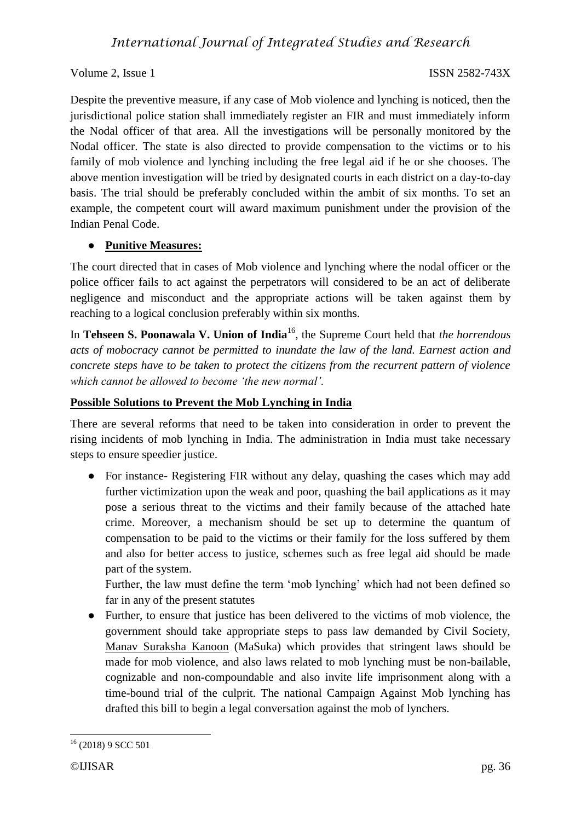Despite the preventive measure, if any case of Mob violence and lynching is noticed, then the jurisdictional police station shall immediately register an FIR and must immediately inform the Nodal officer of that area. All the investigations will be personally monitored by the Nodal officer. The state is also directed to provide compensation to the victims or to his family of mob violence and lynching including the free legal aid if he or she chooses. The above mention investigation will be tried by designated courts in each district on a day-to-day basis. The trial should be preferably concluded within the ambit of six months. To set an example, the competent court will award maximum punishment under the provision of the Indian Penal Code.

### ● **Punitive Measures:**

The court directed that in cases of Mob violence and lynching where the nodal officer or the police officer fails to act against the perpetrators will considered to be an act of deliberate negligence and misconduct and the appropriate actions will be taken against them by reaching to a logical conclusion preferably within six months.

In **Tehseen S. Poonawala V. Union of India**<sup>16</sup>, the Supreme Court held that *the horrendous acts of mobocracy cannot be permitted to inundate the law of the land. Earnest action and concrete steps have to be taken to protect the citizens from the recurrent pattern of violence which cannot be allowed to become 'the new normal'.*

### **Possible Solutions to Prevent the Mob Lynching in India**

There are several reforms that need to be taken into consideration in order to prevent the rising incidents of mob lynching in India. The administration in India must take necessary steps to ensure speedier justice.

• For instance- Registering FIR without any delay, quashing the cases which may add further victimization upon the weak and poor, quashing the bail applications as it may pose a serious threat to the victims and their family because of the attached hate crime. Moreover, a mechanism should be set up to determine the quantum of compensation to be paid to the victims or their family for the loss suffered by them and also for better access to justice, schemes such as free legal aid should be made part of the system.

Further, the law must define the term 'mob lynching' which had not been defined so far in any of the present statutes

● Further, to ensure that justice has been delivered to the victims of mob violence, the government should take appropriate steps to pass law demanded by Civil Society, Manav Suraksha Kanoon (MaSuka) which provides that stringent laws should be made for mob violence, and also laws related to mob lynching must be non-bailable, cognizable and non-compoundable and also invite life imprisonment along with a time-bound trial of the culprit. The national Campaign Against Mob lynching has drafted this bill to begin a legal conversation against the mob of lynchers.

<sup>1</sup>  $16$  (2018) 9 SCC 501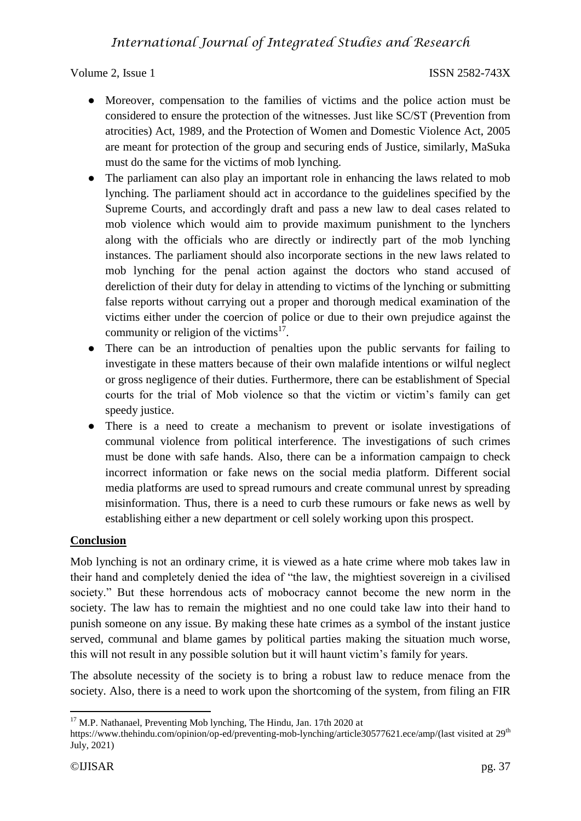- Moreover, compensation to the families of victims and the police action must be considered to ensure the protection of the witnesses. Just like SC/ST (Prevention from atrocities) Act, 1989, and the Protection of Women and Domestic Violence Act, 2005 are meant for protection of the group and securing ends of Justice, similarly, MaSuka must do the same for the victims of mob lynching.
- The parliament can also play an important role in enhancing the laws related to mob lynching. The parliament should act in accordance to the guidelines specified by the Supreme Courts, and accordingly draft and pass a new law to deal cases related to mob violence which would aim to provide maximum punishment to the lynchers along with the officials who are directly or indirectly part of the mob lynching instances. The parliament should also incorporate sections in the new laws related to mob lynching for the penal action against the doctors who stand accused of dereliction of their duty for delay in attending to victims of the lynching or submitting false reports without carrying out a proper and thorough medical examination of the victims either under the coercion of police or due to their own prejudice against the community or religion of the victims $^{17}$ .
- There can be an introduction of penalties upon the public servants for failing to investigate in these matters because of their own malafide intentions or wilful neglect or gross negligence of their duties. Furthermore, there can be establishment of Special courts for the trial of Mob violence so that the victim or victim's family can get speedy justice.
- There is a need to create a mechanism to prevent or isolate investigations of communal violence from political interference. The investigations of such crimes must be done with safe hands. Also, there can be a information campaign to check incorrect information or fake news on the social media platform. Different social media platforms are used to spread rumours and create communal unrest by spreading misinformation. Thus, there is a need to curb these rumours or fake news as well by establishing either a new department or cell solely working upon this prospect.

### **Conclusion**

Mob lynching is not an ordinary crime, it is viewed as a hate crime where mob takes law in their hand and completely denied the idea of "the law, the mightiest sovereign in a civilised society." But these horrendous acts of mobocracy cannot become the new norm in the society. The law has to remain the mightiest and no one could take law into their hand to punish someone on any issue. By making these hate crimes as a symbol of the instant justice served, communal and blame games by political parties making the situation much worse, this will not result in any possible solution but it will haunt victim's family for years.

The absolute necessity of the society is to bring a robust law to reduce menace from the society. Also, there is a need to work upon the shortcoming of the system, from filing an FIR

1

 $17$  M.P. Nathanael, Preventing Mob lynching, The Hindu, Jan. 17th 2020 at

https://www.thehindu.com/opinion/op-ed/preventing-mob-lynching/article30577621.ece/amp/(last visited at 29<sup>th</sup>) July, 2021)